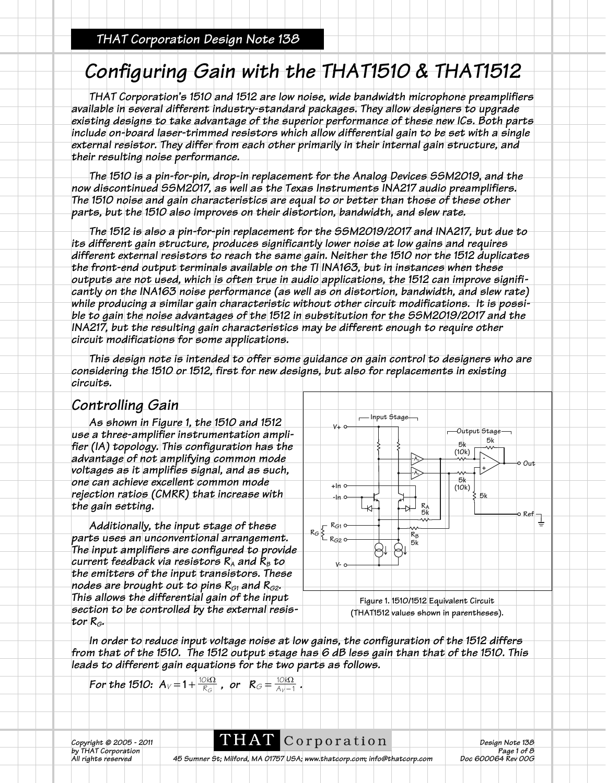### *THAT Corporation Design Note 138*

# *Configuring Gain with the THAT1510 & THAT1512*

*THAT Corporation's 1510 and 1512 are low noise, wide bandwidth microphone preamplifiers available in several different industry-standard packages. They allow designers to upgrade existing designs to take advantage of the superior performance of these new ICs. Both parts include on-board laser-trimmed resistors which allow differential gain to be set with a single external resistor. They differ from each other primarily in their internal gain structure, and their resulting noise performance.*

*The 1510 is a pin-for-pin, drop-in replacement for the Analog Devices SSM2019, and the now discontinued SSM2017, as well as the Texas Instruments INA217 audio preamplifiers. The 1510 noise and gain characteristics are equal to or better than those of these other parts, but the 1510 also improves on their distortion, bandwidth, and slew rate.*

*The 1512 is also a pin-for-pin replacement for the SSM2019/2017 and INA217, but due to its different gain structure, produces significantly lower noise at low gains and requires different external resistors to reach the same gain. Neither the 1510 nor the 1512 duplicates the front-end output terminals available on the TI INA163, but in instances when these outputs are not used, which is often true in audio applications, the 1512 can improve significantly on the INA163 noise performance (as well as on distortion, bandwidth, and slew rate) while producing a similar gain characteristic without other circuit modifications. It is possible to gain the noise advantages of the 1512 in substitution for the SSM2019/2017 and the INA217, but the resulting gain characteristics may be different enough to require other circuit modifications for some applications.*

*This design note is intended to offer some guidance on gain control to designers who are considering the 1510 or 1512, first for new designs, but also for replacements in existing circuits.*

### *Controlling Gain*

*As shown in Figure 1, the 1510 and 1512 use a three-amplifier instrumentation amplifier (IA) topology. This configuration has the advantage of not amplifying common mode voltages as it amplifies signal, and as such, one can achieve excellent common mode rejection ratios (CMRR) that increase with the gain setting.* 

*Additionally, the input stage of these parts uses an unconventional arrangement. The input amplifiers are configured to provide current feedback via resistors RA and RB to the emitters of the input transistors. These nodes are brought out to pins*  $R_{G1}$  *and*  $R_{G2}$ *. This allows the differential gain of the input section to be controlled by the external resistor RG.* 



*In order to reduce input voltage noise at low gains, the configuration of the 1512 differs from that of the 1510. The 1512 output stage has 6 dB less gain than that of the 1510. This leads to different gain equations for the two parts as follows.*

For the 1510: 
$$
A_V = 1 + \frac{10k\Omega}{R_G}
$$
, or  $R_G = \frac{10k\Omega}{A_V - 1}$ .

*Copyright © 2005 - 2011* **DELAT** C O **r** D **o r** a **t** i O **n Design Note 138**<br>by THAT Corporation **Page 1 of 8** 

*by* THAT Corporation<br>All rights reserved 45 Sumner St; Milford, MA 01757 USA; www.thatcorp.com; info@thatcorp.com Doc 600064 Rev 00G *Ab Sumner St; Milford, MA 01757 USA; www.thatcorp.com; info@thatcorp.com*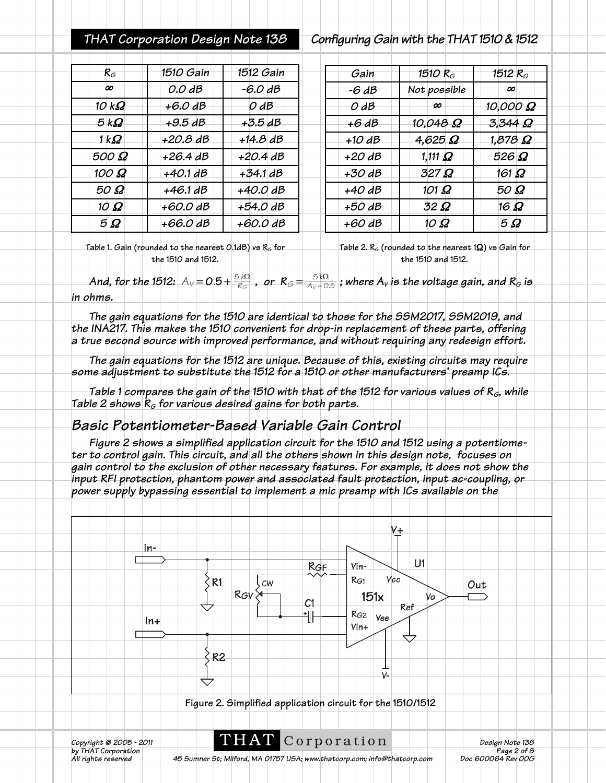### *THAT Corporation Design Note 138 Configuring Gain with the THAT 1510 & 1512*

| $R_G$                 | 1510 Gain  | 1512 Gain  | Gain     | 1510 R $_{\scriptscriptstyle G}$ | 1512 $R_G$       |
|-----------------------|------------|------------|----------|----------------------------------|------------------|
| ∞                     | 0.0 dB     | $-6.0dB$   | -6 dB    | Not possible                     | œ                |
| 10 k $\boldsymbol{Q}$ | $+6.0$ dB  | $O$ $dB$   | $O$ $dB$ | œ.                               | 10,000 $\Omega$  |
| 5kQ                   | $+9.5dB$   | $+3.5dB$   | $+6dB$   | 10,048 $\Omega$                  | $3.344$ $\Omega$ |
| 1 k $\Omega$          | $+20.8$ dB | $+14.8$ dB | $+10dB$  | $4,625$ $\Omega$                 | $1,878$ $\Omega$ |
| 500 $\Omega$          | $+26.4$ dB | $+20.4$ dB | $+20$ dB | 1,111 $\Omega$                   | 526 $\Omega$     |
| 100 $\Omega$          | $+40.1dB$  | $+34.1$ dB | $+30$ dB | $327\,\Omega$                    | $161 \Omega$     |
| $50\ \Omega$          | $+46.1dB$  | $+40.0$ dB | $+40$ dB | 101 $\Omega$                     | $50\ \Omega$     |
| 10 $\Omega$           | $+60.0$ dB | $+54.0$ dB | $+50$ dB | $32\Omega$                       | 16 $\Omega$      |
| $5\Omega$             | $+66.0$ dB | $+60.0$ dB | $+60$ dB | 10 $\Omega$                      | $5\Omega$        |
|                       |            |            |          |                                  |                  |

**Table 1. Gain (rounded to the nearest 0.1dB) vs R<sub>G</sub> for the 1510 and 1512. Table 2. RG (rounded to the nearest 1**Ω**) vs Gain for the 1510 and 1512.**

 $A$ nd, for the 1512:  $A_V=O.5+\frac{5~k\Omega}{R_G}$  , or  $R_G=\frac{5~k\Omega}{A_V+O.5}$  ; where  $A_V$  is the voltage gain, and  $R_G$  is *in ohms.*

*The gain equations for the 1510 are identical to those for the SSM2017, SSM2019, and the INA217. This makes the 1510 convenient for drop-in replacement of these parts, offering a true second source with improved performance, and without requiring any redesign effort.*

*The gain equations for the 1512 are unique. Because of this, existing circuits may require some adjustment to substitute the 1512 for a 1510 or other manufacturers' preamp ICs.* 

*Table 1 compares the gain of the 1510 with that of the 1512 for various values of RG, while Table 2 shows*  $R_G$  *for various desired gains for both parts.* 

### *Basic Potentiometer-Based Variable Gain Control*

*Figure 2 shows a simplified application circuit for the 1510 and 1512 using a potentiometer to control gain. This circuit, and all the others shown in this design note, focuses on gain control to the exclusion of other necessary features. For example, it does not show the input RFI protection, phantom power and associated fault protection, input ac-coupling, or power supply bypassing essential to implement a mic preamp with ICs available on the*

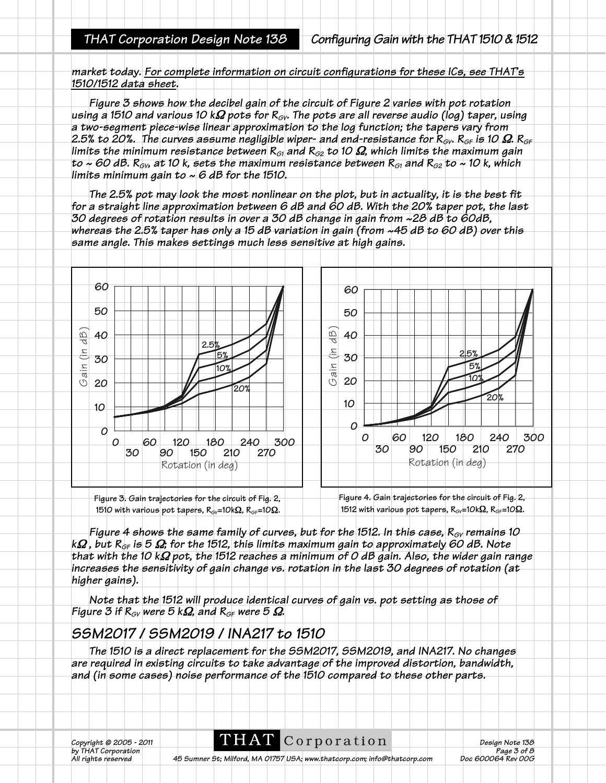*market today. For complete information on circuit configurations for these ICs, see THAT's 1510/1512 data sheet.*

*Figure 3 shows how the decibel gain of the circuit of Figure 2 varies with pot rotation using a 1510 and various 10 k*Ω *pots for RGV. The pots are all reverse audio (log) taper, using a two-segment piece-wise linear approximation to the log function; the tapers vary from* 2.5% to 20%. The curves assume negligible wiper- and end-resistance for  $R_{\text{GV}}$ .  $R_{\text{GF}}$  is 10  $\Omega$ .  $R_{\text{GF}}$ *limits the minimum resistance between RG1 and RG2 to 10* Ω*, which limits the maximum gain to ~ 60 dB.*  $R_{\text{cv}}$ , at 10 k, sets the maximum resistance between  $R_{\text{G1}}$  and  $R_{\text{G2}}$  to ~ 10 k, which *limits minimum gain to ~ 6 dB for the 1510.*

*The 2.5% pot may look the most nonlinear on the plot, but in actuality, it is the best fit for a straight line approximation between 6 dB and 60 dB. With the 20% taper pot, the last 30 degrees of rotation results in over a 30 dB change in gain from ~28 dB to 60dB, whereas the 2.5% taper has only a 15 dB variation in gain (from ~45 dB to 60 dB) over this same angle. This makes settings much less sensitive at high gains.* 



**Figure 3. Gain trajectories for the circuit of Fig. 2, 1510 with various pot tapers, RGV=10k**Ω**, RGF=10**Ω**. Figure 4. Gain trajectories for the circuit of Fig. 2, 1512** with various pot tapers, R<sub>GV</sub>=10kΩ, R<sub>GF</sub>=10Ω.

*Figure 4 shows the same family of curves, but for the 1512. In this case,*  $R_{\text{ov}}$  *remains 10 k*Ω *, but RGF is 5* Ω*; for the 1512, this limits maximum gain to approximately 60 dB. Note that with the 10 k*Ω *pot, the 1512 reaches a minimum of 0 dB gain. Also, the wider gain range increases the sensitivity of gain change vs. rotation in the last 30 degrees of rotation (at higher gains).* 

*Note that the 1512 will produce identical curves of gain vs. pot setting as those of Figure 3 if R<sub>GV</sub> were 5 k* $\Omega$ *, and R<sub>GF</sub> were 5*  $\Omega$ *.* 

## *SSM2017 / SSM2019 / INA217 to 1510*

*The 1510 is a direct replacement for the SSM2017, SSM2019, and INA217. No changes are required in existing circuits to take advantage of the improved distortion, bandwidth, and (in some cases) noise performance of the 1510 compared to these other parts.*

*Copyright © 2005 - 2011* **DEAT** C O T D O T A  $\overline{10}$  Design Note 138<br>by THAT Corporation Page 3 of 8

by THAT Corporation<br>All rights reserved **1998** 45 Sumner St; Milford, MA 01757 USA; www.thatcorp.com; info@thatcorp.com Doc 600064 Rev *Ab Sumner St; Milford, MA 01757 USA; www.thatcorp.com; info@thatcorp.com*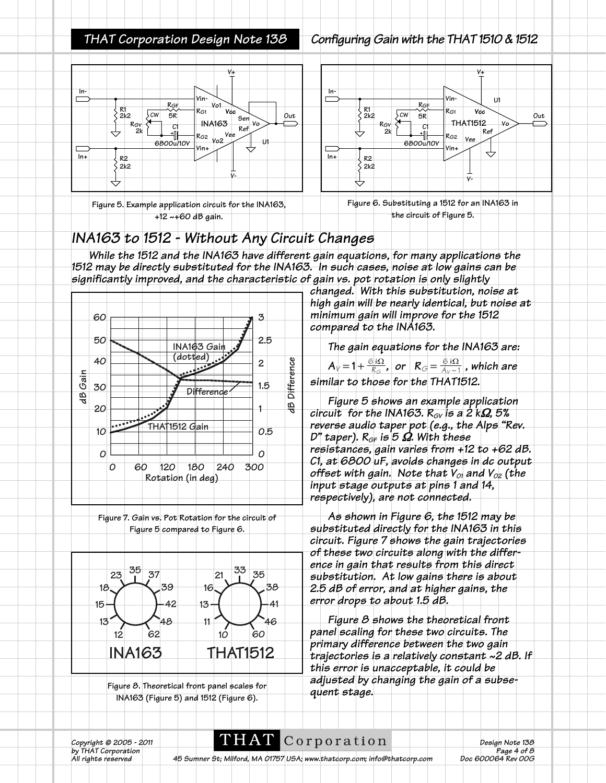### *THAT Corporation Design Note 138 Configuring Gain with the THAT 1510 & 1512*

C1<br>-<br>-**6800u/10V**

**RGF**

**5R**







**Vcc**

**V+**

**Ref**

↔

**Vo**

**U1**

**Out**

**Vee**

**THAT1512**

**RG1 Vin-**

**Vin+**

**RG2**

**V-**

## *INA163 to 1512 - Without Any Circuit Changes*

*While the 1512 and the INA163 have different gain equations, for many applications the 1512 may be directly substituted for the INA163. In such cases, noise at low gains can be significantly improved, and the characteristic of gain vs. pot rotation is only slightly*

**In-**

**R1 2k2**

**RGV 2k**

**CW**

**R2 2k2**

**In+**



**Figure 7. Gain vs. Pot Rotation for the circuit of Figure 5 compared to Figure 6.**



**Figure 8. Theoretical front panel scales for INA163 (Figure 5) and 1512 (Figure 6).**

*changed. With this substitution, noise at high gain will be nearly identical, but noise at minimum gain will improve for the 1512 compared to the INA163.*

*The gain equations for the INA163 are:*   $A_V = 1 + \frac{\partial |\Omega_2|}{\partial G}$ , or  $R_G = \frac{\partial |\Omega_2|}{\partial V - 1}$ , which are *similar to those for the THAT1512.*

*Figure 5 shows an example application circuit for the INA163.*  $R_{GY}$  *is a 2 kΩ, 5% reverse audio taper pot (e.g., the Alps "Rev. D" taper). RGF is 5* Ω*. With these resistances, gain varies from +12 to +62 dB. C1, at 6800 uF, avoids changes in dc output offset with gain. Note that*  $V_{01}$  *and*  $V_{02}$  *(the input stage outputs at pins 1 and 14, respectively), are not connected.*

*As shown in Figure 6, the 1512 may be substituted directly for the INA163 in this circuit. Figure 7 shows the gain trajectories of these two circuits along with the difference in gain that results from this direct substitution. At low gains there is about 2.5 dB of error, and at higher gains, the error drops to about 1.5 dB.* 

*Figure 8 shows the theoretical front panel scaling for these two circuits. The primary difference between the two gain trajectories is a relatively constant ~2 dB. If this error is unacceptable, it could be adjusted by changing the gain of a subsequent stage.*

*Copyright © 2005 - 2011* **DELAT** C O **r** D **o r** a **t** i O **n Design Note 138**<br>by THAT Corporation **Page 4 of 8** 

by THAT Corporation<br>All rights reserved **1998** 4 and 2017 45 Sumner St; Milford, MA 01757 USA; www.thatcorp.com; info@thatcorp.com Doc 600064 Rev 00G *Ab Sumner St; Milford, MA 01757 USA; www.thatcorp.com; info@thatcorp.com*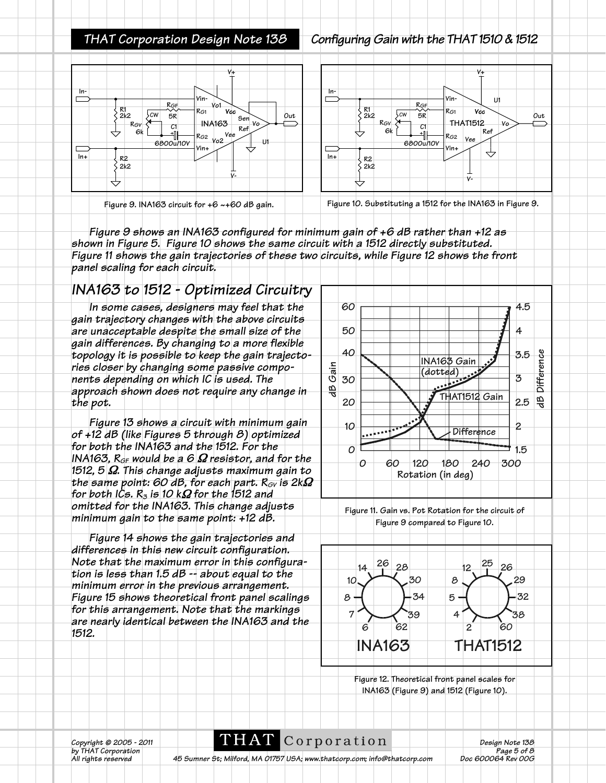### *THAT Corporation Design Note 138 Configuring Gain with the THAT 1510 & 1512*



**Figure 9. INA163 circuit for +6 ~+60 dB gain. Figure 10. Substituting a 1512 for the INA163 in Figure 9.**

*Figure 9 shows an INA163 configured for minimum gain of +6 dB rather than +12 as shown in Figure 5. Figure 10 shows the same circuit with a 1512 directly substituted. Figure 11 shows the gain trajectories of these two circuits, while Figure 12 shows the front panel scaling for each circuit.*

## *INA163 to 1512 - Optimized Circuitry*

*In some cases, designers may feel that the gain trajectory changes with the above circuits are unacceptable despite the small size of the gain differences. By changing to a more flexible topology it is possible to keep the gain trajectories closer by changing some passive components depending on which IC is used. The approach shown does not require any change in the pot.* 

*Figure 13 shows a circuit with minimum gain of +12 dB (like Figures 5 through 8) optimized for both the INA163 and the 1512. For the INA163, RGF would be a 6* Ω *resistor, and for the 1512, 5* Ω*. This change adjusts maximum gain to the same point: 60 dB, for each part. R<sub>GV</sub> is 2k* $\Omega$ *for both ICs. R<sub>3</sub> is 10 kΩ for the 1512 and omitted for the INA163. This change adjusts minimum gain to the same point: +12 dB.*

*Figure 14 shows the gain trajectories and differences in this new circuit configuration. Note that the maximum error in this configuration is less than 1.5 dB -- about equal to the minimum error in the previous arrangement. Figure 15 shows theoretical front panel scalings for this arrangement. Note that the markings are nearly identical between the INA163 and the 1512.*



**Figure 11. Gain vs. Pot Rotation for the circuit of Figure 9 compared to Figure 10.**



**Figure 12. Theoretical front panel scales for INA163 (Figure 9) and 1512 (Figure 10).**

*Copyright © 2005 - 2011* **DELAT** C O **r** D O **r** a t i O **n** Design Note 138<br>by THAT Corporation **Page 5 of 8** 

*by THAT Corporation Page 5 of 8 Ab Sumner St; Milford, MA 01757 USA; www.thatcorp.com; info@thatcorp.com*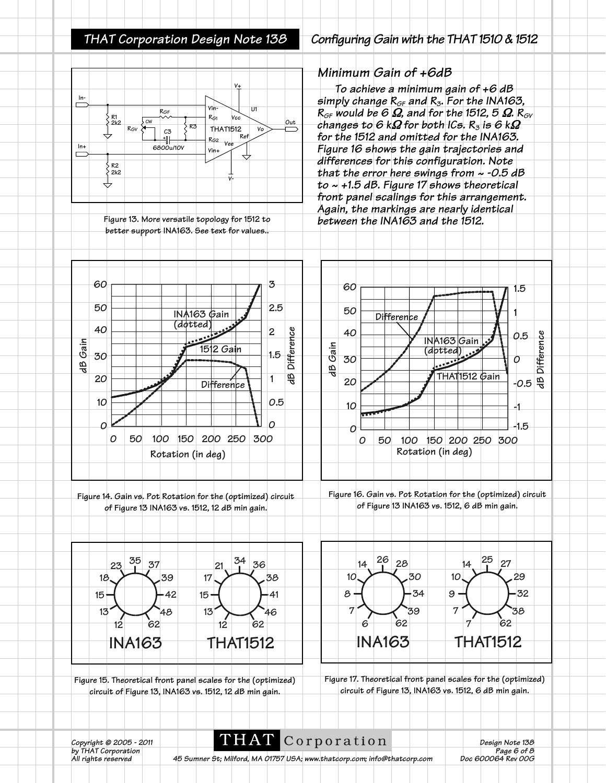### **V+ In-**⊏ **Vin-U1 RGF RG1 Vcc R1 2k2 Out CW R3 RGV THAT1512 Vo C3 Ref** 1 **RG2 Vee In+ 6800u/10V Vin+**  $\equiv$ **R2 2k2 V-**

**Figure 13. More versatile topology for 1512 to better support INA163. See text for values..**

### *THAT Corporation Design Note 138 Configuring Gain with the THAT 1510 & 1512*

### *Minimum Gain of +6dB*

*To achieve a minimum gain of +6 dB simply change RGF and R3. For the INA163,*  $R_{GF}$  would be 6  $\Omega$ , and for the 1512, 5  $\Omega$ .  $R_{GY}$ *changes to 6 k*Ω *for both ICs. R3 is 6 k*Ω *for the 1512 and omitted for the INA163. Figure 16 shows the gain trajectories and differences for this configuration. Note that the error here swings from ~ -0.5 dB to ~ +1.5 dB. Figure 17 shows theoretical front panel scalings for this arrangement. Again, the markings are nearly identical between the INA163 and the 1512.*



**circuit of Figure 13, INA163 vs. 1512, 12 dB min gain.**

**circuit of Figure 13, INA163 vs. 1512, 6 dB min gain.**

**THAT** Corporation *Design Note* 138<br>*Page 6 of 8 b*y THAT Corporation *Page 6 of 8*<br>by THAT Corporation *Page 6 of 8*<br>All rights reserved 45 Sumner St; Milford, MA 01757 USA; www.thatcorp.com; info@thatcorp.com **Page 6 of 8** 

*A5 Sumner St; Milford, MA 01757 USA; www.thatcorp.com; info@thatcorp.com*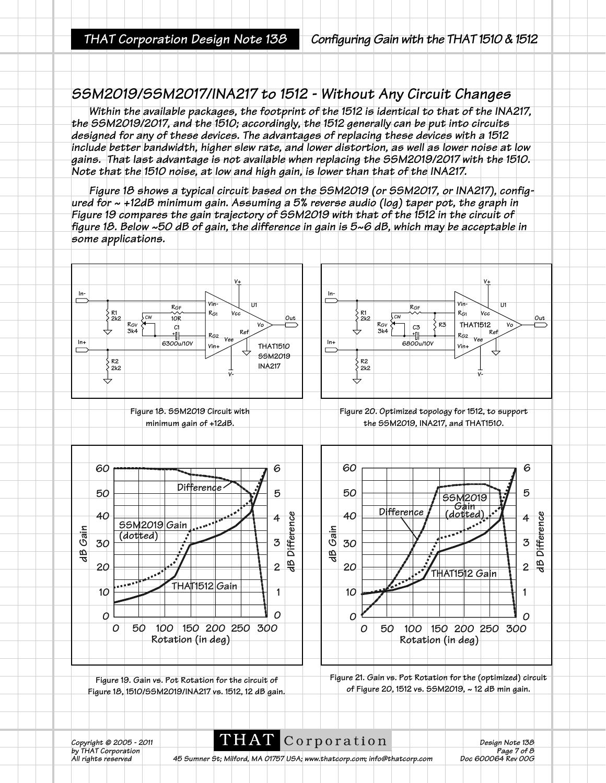### *SSM2019/SSM2017/INA217 to 1512 - Without Any Circuit Changes*

*Within the available packages, the footprint of the 1512 is identical to that of the INA217, the SSM2019/2017, and the 1510; accordingly, the 1512 generally can be put into circuits designed for any of these devices. The advantages of replacing these devices with a 1512 include better bandwidth, higher slew rate, and lower distortion, as well as lower noise at low gains. That last advantage is not available when replacing the SSM2019/2017 with the 1510. Note that the 1510 noise, at low and high gain, is lower than that of the INA217.*

*Figure 18 shows a typical circuit based on the SSM2019 (or SSM2017, or INA217), configured for ~ +12dB minimum gain. Assuming a 5% reverse audio (log) taper pot, the graph in Figure 19 compares the gain trajectory of SSM2019 with that of the 1512 in the circuit of figure 18. Below ~50 dB of gain, the difference in gain is 5~6 dB, which may be acceptable in some applications.*



*Copyright © 2005 - 2011* **DEAT** C O r p O r a t i O n<br>by THAT Corporation Page 7 of 8

*by THAT Corporation Page 7 of 8 Ab Sumner St; Milford, MA 01757 USA; www.thatcorp.com; info@thatcorp.com*